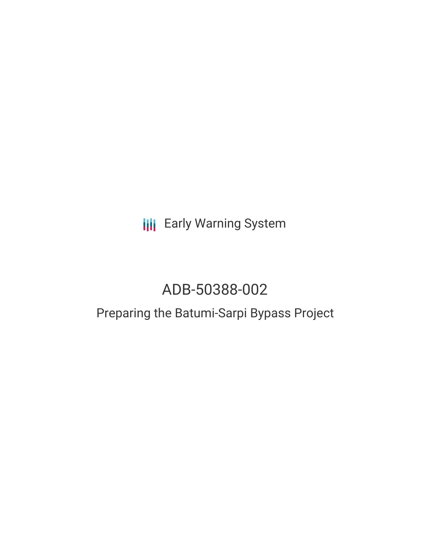**III** Early Warning System

# ADB-50388-002

## Preparing the Batumi-Sarpi Bypass Project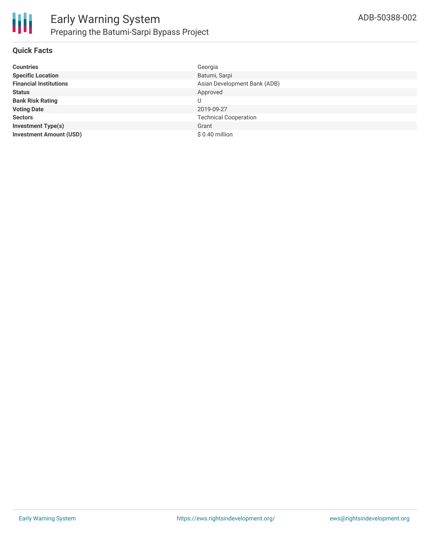#### **Quick Facts**

| <b>Countries</b>               | Georgia                      |
|--------------------------------|------------------------------|
| <b>Specific Location</b>       | Batumi, Sarpi                |
| <b>Financial Institutions</b>  | Asian Development Bank (ADB) |
| <b>Status</b>                  | Approved                     |
| <b>Bank Risk Rating</b>        | U                            |
| <b>Voting Date</b>             | 2019-09-27                   |
| <b>Sectors</b>                 | <b>Technical Cooperation</b> |
| <b>Investment Type(s)</b>      | Grant                        |
| <b>Investment Amount (USD)</b> | $$0.40$ million              |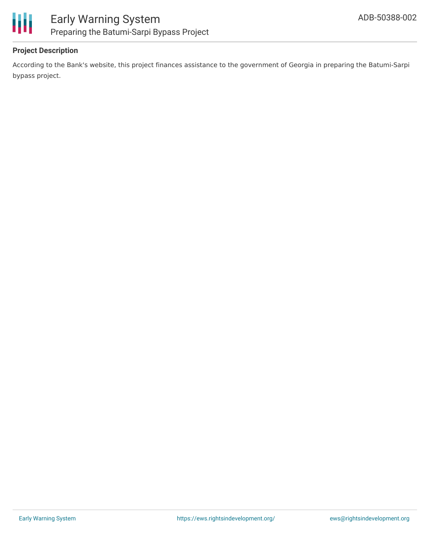

#### **Project Description**

According to the Bank's website, this project finances assistance to the government of Georgia in preparing the Batumi-Sarpi bypass project.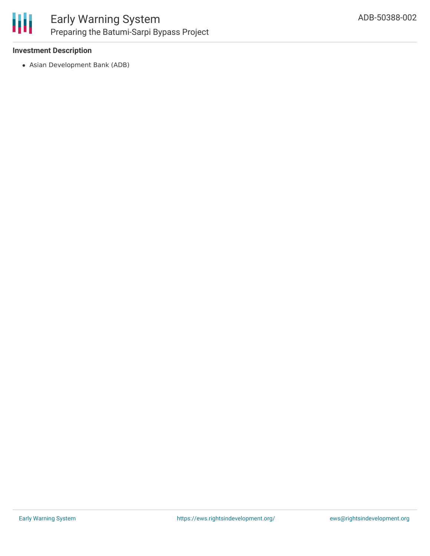

#### **Investment Description**

Asian Development Bank (ADB)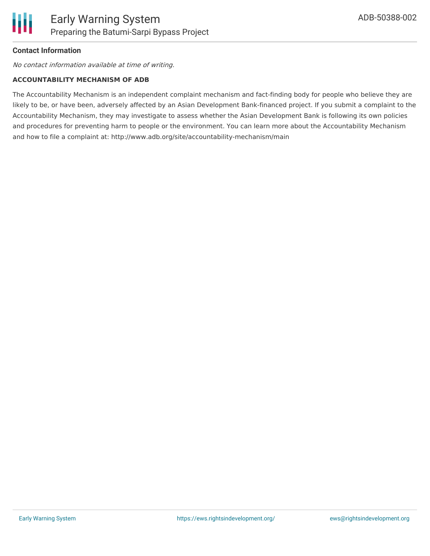

#### **Contact Information**

No contact information available at time of writing.

#### **ACCOUNTABILITY MECHANISM OF ADB**

The Accountability Mechanism is an independent complaint mechanism and fact-finding body for people who believe they are likely to be, or have been, adversely affected by an Asian Development Bank-financed project. If you submit a complaint to the Accountability Mechanism, they may investigate to assess whether the Asian Development Bank is following its own policies and procedures for preventing harm to people or the environment. You can learn more about the Accountability Mechanism and how to file a complaint at: http://www.adb.org/site/accountability-mechanism/main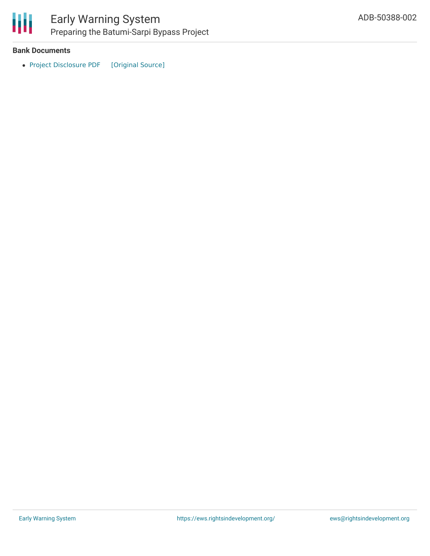

冊

## Early Warning System Preparing the Batumi-Sarpi Bypass Project

#### **Bank Documents**

• Project [Disclosure](https://ewsdata.rightsindevelopment.org/files/documents/02/ADB-50388-002.pdf) PDF [\[Original](https://www.adb.org/printpdf/projects/50388-002/main) Source]